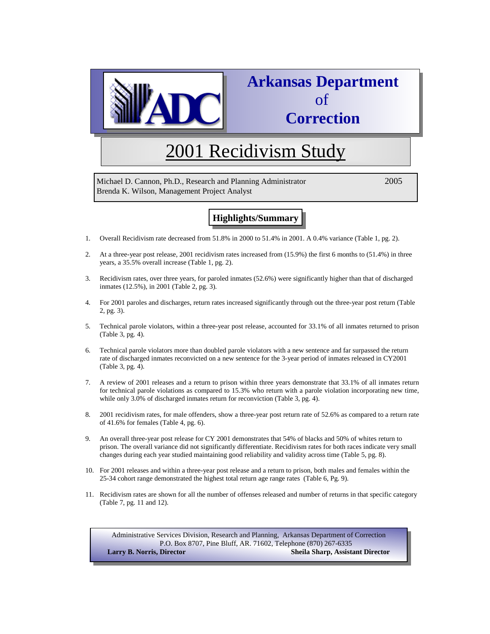

## **Arkansas Department**  of **Correction**

# 2001 Recidivism Study

Michael D. Cannon, Ph.D., Research and Planning Administrator 2005 Brenda K. Wilson, Management Project Analyst

## **Highlights/Summary**

- 1. Overall Recidivism rate decreased from 51.8% in 2000 to 51.4% in 2001. A 0.4% variance (Table 1, pg. 2).
- 2. At a three-year post release, 2001 recidivism rates increased from (15.9%) the first 6 months to (51.4%) in three years, a 35.5% overall increase (Table 1, pg. 2).
- 3. Recidivism rates, over three years, for paroled inmates (52.6%) were significantly higher than that of discharged inmates (12.5%), in 2001 (Table 2, pg. 3).
- 4. For 2001 paroles and discharges, return rates increased significantly through out the three-year post return (Table 2, pg. 3).
- 5. Technical parole violators, within a three-year post release, accounted for 33.1% of all inmates returned to prison (Table 3, pg. 4).
- 6. Technical parole violators more than doubled parole violators with a new sentence and far surpassed the return rate of discharged inmates reconvicted on a new sentence for the 3-year period of inmates released in CY2001 (Table 3, pg. 4).
- 7. A review of 2001 releases and a return to prison within three years demonstrate that 33.1% of all inmates return for technical parole violations as compared to 15.3% who return with a parole violation incorporating new time, while only 3.0% of discharged inmates return for reconviction (Table 3, pg. 4).
- 8. 2001 recidivism rates, for male offenders, show a three-year post return rate of 52.6% as compared to a return rate of 41.6% for females (Table 4, pg. 6).
- 9. An overall three-year post release for CY 2001 demonstrates that 54% of blacks and 50% of whites return to prison. The overall variance did not significantly differentiate. Recidivism rates for both races indicate very small changes during each year studied maintaining good reliability and validity across time (Table 5, pg. 8).
- 10. For 2001 releases and within a three-year post release and a return to prison, both males and females within the 25-34 cohort range demonstrated the highest total return age range rates (Table 6, Pg. 9).
- 11. Recidivism rates are shown for all the number of offenses released and number of returns in that specific category (Table 7, pg. 11 and 12).

Administrative Services Division, Research and Planning, Arkansas Department of Correction P.O. Box 8707, Pine Bluff, AR. 71602, Telephone (870) 267-6335 **Larry B. Norris, Director Sheila Sharp, Assistant Director**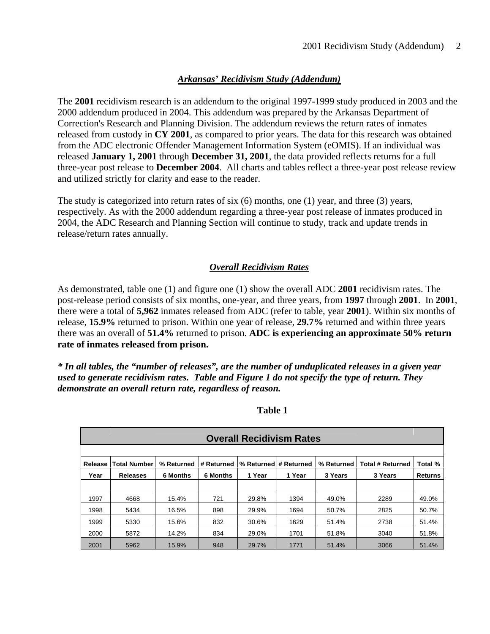## *Arkansas' Recidivism Study (Addendum)*

The **2001** recidivism research is an addendum to the original 1997-1999 study produced in 2003 and the 2000 addendum produced in 2004. This addendum was prepared by the Arkansas Department of Correction's Research and Planning Division. The addendum reviews the return rates of inmates released from custody in **CY 2001**, as compared to prior years. The data for this research was obtained from the ADC electronic Offender Management Information System (eOMIS). If an individual was released **January 1, 2001** through **December 31, 2001**, the data provided reflects returns for a full three-year post release to **December 2004**. All charts and tables reflect a three-year post release review and utilized strictly for clarity and ease to the reader.

The study is categorized into return rates of six (6) months, one (1) year, and three (3) years, respectively. As with the 2000 addendum regarding a three-year post release of inmates produced in 2004, the ADC Research and Planning Section will continue to study, track and update trends in release/return rates annually.

## *Overall Recidivism Rates*

As demonstrated, table one (1) and figure one (1) show the overall ADC **2001** recidivism rates. The post-release period consists of six months, one-year, and three years, from **1997** through **2001**. In **2001**, there were a total of **5,962** inmates released from ADC (refer to table, year **2001**). Within six months of release, **15.9%** returned to prison. Within one year of release, **29.7%** returned and within three years there was an overall of **51.4%** returned to prison. **ADC is experiencing an approximate 50% return rate of inmates released from prison.**

*\* In all tables, the "number of releases", are the number of unduplicated releases in a given year used to generate recidivism rates. Table and Figure 1 do not specify the type of return. They demonstrate an overall return rate, regardless of reason.* 

|         |                     |            |                 | <b>Overall Recidivism Rates</b> |        |            |                         |                |
|---------|---------------------|------------|-----------------|---------------------------------|--------|------------|-------------------------|----------------|
|         |                     |            |                 |                                 |        |            |                         |                |
| Release | <b>Total Number</b> | % Returned | l # Returned    | % Returned # Returned           |        | % Returned | <b>Total # Returned</b> | Total %        |
| Year    | <b>Releases</b>     | 6 Months   | <b>6 Months</b> | 1 Year                          | 1 Year | 3 Years    | 3 Years                 | <b>Returns</b> |
|         |                     |            |                 |                                 |        |            |                         |                |
| 1997    | 4668                | 15.4%      | 721             | 29.8%                           | 1394   | 49.0%      | 2289                    | 49.0%          |
| 1998    | 5434                | 16.5%      | 898             | 29.9%                           | 1694   | 50.7%      | 2825                    | 50.7%          |
| 1999    | 5330                | 15.6%      | 832             | 30.6%                           | 1629   | 51.4%      | 2738                    | 51.4%          |
| 2000    | 5872                | 14.2%      | 834             | 29.0%                           | 1701   | 51.8%      | 3040                    | 51.8%          |
| 2001    | 5962                | 15.9%      | 948             | 29.7%                           | 1771   | 51.4%      | 3066                    | 51.4%          |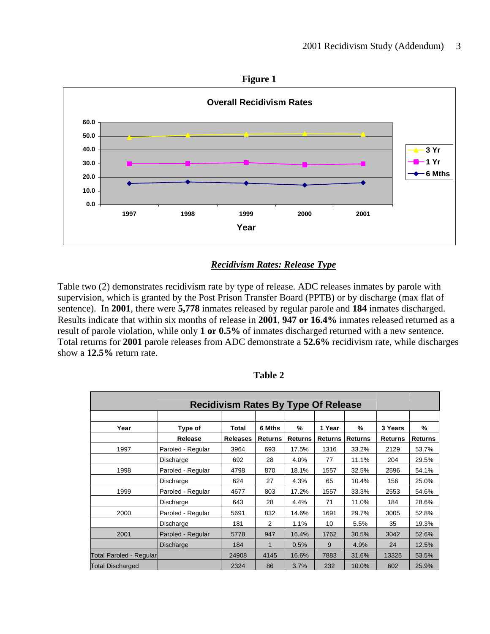



## *Recidivism Rates: Release Type*

Table two (2) demonstrates recidivism rate by type of release. ADC releases inmates by parole with supervision, which is granted by the Post Prison Transfer Board (PPTB) or by discharge (max flat of sentence). In **2001**, there were **5,778** inmates released by regular parole and **184** inmates discharged. Results indicate that within six months of release in **2001**, **947 or 16.4%** inmates released returned as a result of parole violation, while only **1 or 0.5%** of inmates discharged returned with a new sentence. Total returns for **2001** parole releases from ADC demonstrate a **52.6%** recidivism rate, while discharges show a **12.5%** return rate.

|                                |                   | <b>Recidivism Rates By Type Of Release</b> |                |                |                |                |                |                |
|--------------------------------|-------------------|--------------------------------------------|----------------|----------------|----------------|----------------|----------------|----------------|
|                                |                   |                                            |                |                |                |                |                |                |
| Year                           | Type of           | Total                                      | 6 Mths         | %              | 1 Year         | %              | 3 Years        | %              |
|                                | Release           | <b>Releases</b>                            | <b>Returns</b> | <b>Returns</b> | <b>Returns</b> | <b>Returns</b> | <b>Returns</b> | <b>Returns</b> |
| 1997                           | Paroled - Regular | 3964                                       | 693            | 17.5%          | 1316           | 33.2%          | 2129           | 53.7%          |
|                                | Discharge         | 692                                        | 28             | 4.0%           | 77             | 11.1%          | 204            | 29.5%          |
| 1998                           | Paroled - Regular | 4798                                       | 870            | 18.1%          | 1557           | 32.5%          | 2596           | 54.1%          |
|                                | Discharge         | 624                                        | 27             | 4.3%           | 65             | 10.4%          | 156            | 25.0%          |
| 1999                           | Paroled - Regular | 4677                                       | 803            | 17.2%          | 1557           | 33.3%          | 2553           | 54.6%          |
|                                | Discharge         | 643                                        | 28             | 4.4%           | 71             | 11.0%          | 184            | 28.6%          |
| 2000                           | Paroled - Regular | 5691                                       | 832            | 14.6%          | 1691           | 29.7%          | 3005           | 52.8%          |
|                                | Discharge         | 181                                        | 2              | 1.1%           | 10             | 5.5%           | 35             | 19.3%          |
| 2001                           | Paroled - Regular | 5778                                       | 947            | 16.4%          | 1762           | 30.5%          | 3042           | 52.6%          |
|                                | Discharge         | 184                                        |                | 0.5%           | 9              | 4.9%           | 24             | 12.5%          |
| <b>Total Paroled - Regular</b> |                   | 24908                                      | 4145           | 16.6%          | 7883           | 31.6%          | 13325          | 53.5%          |
| <b>Total Discharged</b>        |                   | 2324                                       | 86             | 3.7%           | 232            | 10.0%          | 602            | 25.9%          |

 **Table 2**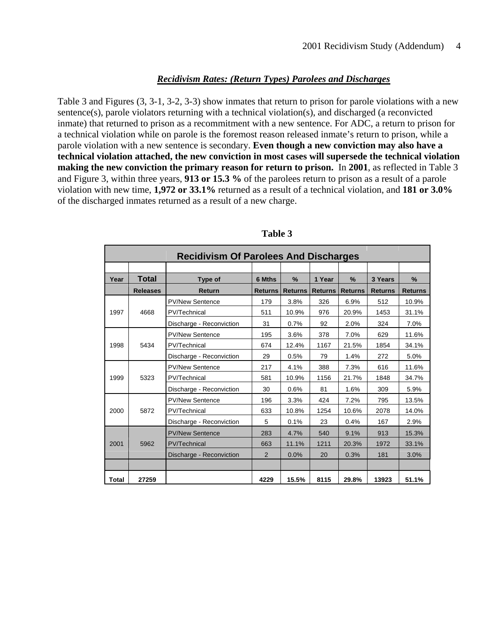### *Recidivism Rates: (Return Types) Parolees and Discharges*

Table 3 and Figures (3, 3-1, 3-2, 3-3) show inmates that return to prison for parole violations with a new sentence(s), parole violators returning with a technical violation(s), and discharged (a reconvicted inmate) that returned to prison as a recommitment with a new sentence. For ADC, a return to prison for a technical violation while on parole is the foremost reason released inmate's return to prison, while a parole violation with a new sentence is secondary. **Even though a new conviction may also have a technical violation attached, the new conviction in most cases will supersede the technical violation making the new conviction the primary reason for return to prison.** In **2001**, as reflected in Table 3 and Figure 3, within three years, **913 or 15.3 %** of the parolees return to prison as a result of a parole violation with new time, **1,972 or 33.1%** returned as a result of a technical violation, and **181 or 3.0%** of the discharged inmates returned as a result of a new charge.

|              | <b>Recidivism Of Parolees And Discharges</b> |                          |                |                |                |                |                |                |
|--------------|----------------------------------------------|--------------------------|----------------|----------------|----------------|----------------|----------------|----------------|
|              |                                              |                          |                |                |                |                |                |                |
| Year         | <b>Total</b>                                 | Type of                  | 6 Mths         | %              | 1 Year         | $\frac{9}{6}$  | 3 Years        | $\%$           |
|              | <b>Releases</b>                              | Return                   | <b>Returns</b> | <b>Returns</b> | <b>Returns</b> | <b>Returns</b> | <b>Returns</b> | <b>Returns</b> |
|              |                                              | <b>PV/New Sentence</b>   | 179            | 3.8%           | 326            | 6.9%           | 512            | 10.9%          |
| 1997         | 4668                                         | PV/Technical             | 511            | 10.9%          | 976            | 20.9%          | 1453           | 31.1%          |
|              |                                              | Discharge - Reconviction | 31             | 0.7%           | 92             | 2.0%           | 324            | 7.0%           |
|              |                                              | <b>PV/New Sentence</b>   | 195            | 3.6%           | 378            | 7.0%           | 629            | 11.6%          |
| 1998         | 5434                                         | PV/Technical             | 674            | 12.4%          | 1167           | 21.5%          | 1854           | 34.1%          |
|              |                                              | Discharge - Reconviction | 29             | 0.5%           | 79             | 1.4%           | 272            | 5.0%           |
|              |                                              | <b>PV/New Sentence</b>   | 217            | 4.1%           | 388            | 7.3%           | 616            | 11.6%          |
| 1999         | 5323                                         | PV/Technical             | 581            | 10.9%          | 1156           | 21.7%          | 1848           | 34.7%          |
|              |                                              | Discharge - Reconviction | 30             | 0.6%           | 81             | 1.6%           | 309            | 5.9%           |
|              |                                              | <b>PV/New Sentence</b>   | 196            | 3.3%           | 424            | 7.2%           | 795            | 13.5%          |
| 2000         | 5872                                         | PV/Technical             | 633            | 10.8%          | 1254           | 10.6%          | 2078           | 14.0%          |
|              |                                              | Discharge - Reconviction | 5              | 0.1%           | 23             | 0.4%           | 167            | 2.9%           |
|              |                                              | <b>PV/New Sentence</b>   | 283            | 4.7%           | 540            | 9.1%           | 913            | 15.3%          |
| 2001         | 5962                                         | <b>PV/Technical</b>      | 663            | 11.1%          | 1211           | 20.3%          | 1972           | 33.1%          |
|              |                                              | Discharge - Reconviction | 2              | 0.0%           | 20             | 0.3%           | 181            | 3.0%           |
|              |                                              |                          |                |                |                |                |                |                |
| <b>Total</b> | 27259                                        |                          | 4229           | 15.5%          | 8115           | 29.8%          | 13923          | 51.1%          |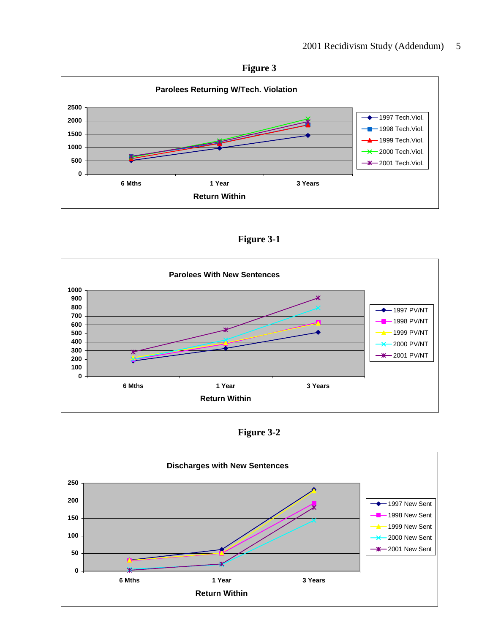



**Figure 3-1** 



**Figure 3-2** 

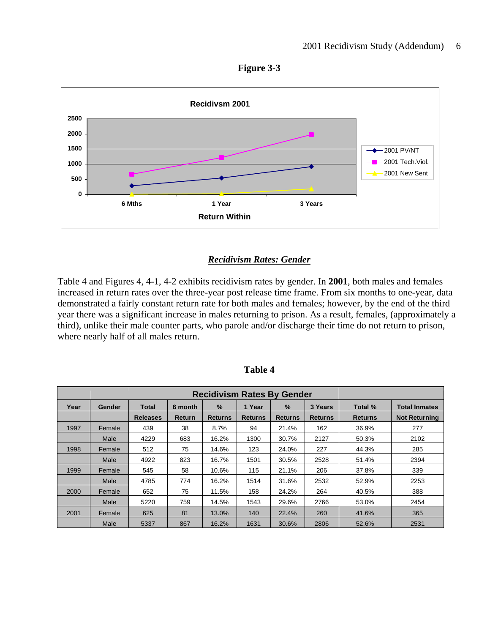



## *Recidivism Rates: Gender*

Table 4 and Figures 4, 4-1, 4-2 exhibits recidivism rates by gender. In **2001**, both males and females increased in return rates over the three-year post release time frame. From six months to one-year, data demonstrated a fairly constant return rate for both males and females; however, by the end of the third year there was a significant increase in males returning to prison. As a result, females, (approximately a third), unlike their male counter parts, who parole and/or discharge their time do not return to prison, where nearly half of all males return.

| <b>Recidivism Rates By Gender</b> |        |                 |               |                |                |                |                |                |                      |
|-----------------------------------|--------|-----------------|---------------|----------------|----------------|----------------|----------------|----------------|----------------------|
| Year                              | Gender | Total           | 6 month       | $\frac{9}{6}$  | 1 Year         | $\%$           | 3 Years        | Total %        | <b>Total Inmates</b> |
|                                   |        | <b>Releases</b> | <b>Return</b> | <b>Returns</b> | <b>Returns</b> | <b>Returns</b> | <b>Returns</b> | <b>Returns</b> | <b>Not Returning</b> |
| 1997                              | Female | 439             | 38            | 8.7%           | 94             | 21.4%          | 162            | 36.9%          | 277                  |
|                                   | Male   | 4229            | 683           | 16.2%          | 1300           | 30.7%          | 2127           | 50.3%          | 2102                 |
| 1998                              | Female | 512             | 75            | 14.6%          | 123            | 24.0%          | 227            | 44.3%          | 285                  |
|                                   | Male   | 4922            | 823           | 16.7%          | 1501           | 30.5%          | 2528           | 51.4%          | 2394                 |
| 1999                              | Female | 545             | 58            | 10.6%          | 115            | 21.1%          | 206            | 37.8%          | 339                  |
|                                   | Male   | 4785            | 774           | 16.2%          | 1514           | 31.6%          | 2532           | 52.9%          | 2253                 |
| 2000                              | Female | 652             | 75            | 11.5%          | 158            | 24.2%          | 264            | 40.5%          | 388                  |
|                                   | Male   | 5220            | 759           | 14.5%          | 1543           | 29.6%          | 2766           | 53.0%          | 2454                 |
| 2001                              | Female | 625             | 81            | 13.0%          | 140            | 22.4%          | 260            | 41.6%          | 365                  |
|                                   | Male   | 5337            | 867           | 16.2%          | 1631           | 30.6%          | 2806           | 52.6%          | 2531                 |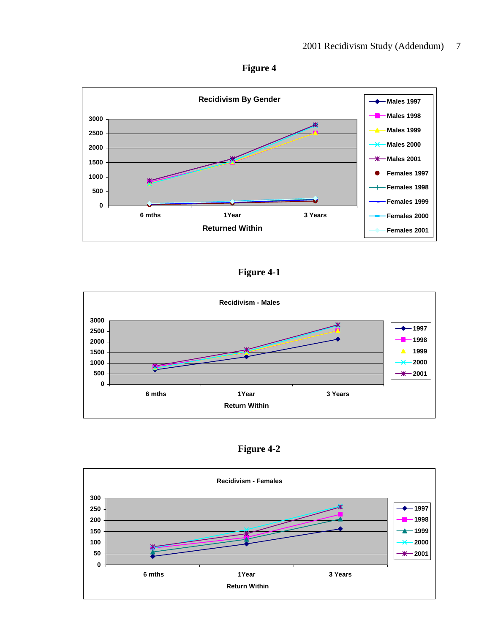



## **Figure 4-1**



**Figure 4-2** 

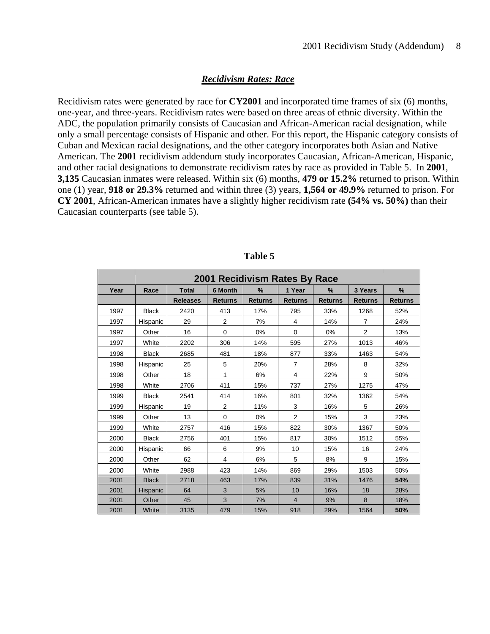#### *Recidivism Rates: Race*

Recidivism rates were generated by race for **CY2001** and incorporated time frames of six (6) months, one-year, and three-years. Recidivism rates were based on three areas of ethnic diversity. Within the ADC, the population primarily consists of Caucasian and African-American racial designation, while only a small percentage consists of Hispanic and other. For this report, the Hispanic category consists of Cuban and Mexican racial designations, and the other category incorporates both Asian and Native American. The **2001** recidivism addendum study incorporates Caucasian, African-American, Hispanic, and other racial designations to demonstrate recidivism rates by race as provided in Table 5. In **2001**, **3,135** Caucasian inmates were released. Within six (6) months, **479 or 15.2%** returned to prison. Within one (1) year, **918 or 29.3%** returned and within three (3) years, **1,564 or 49.9%** returned to prison. For **CY 2001**, African-American inmates have a slightly higher recidivism rate **(54% vs. 50%)** than their Caucasian counterparts (see table 5).

|      |              |                 | 2001 Recidivism Rates By Race |                |                |                |                |                |
|------|--------------|-----------------|-------------------------------|----------------|----------------|----------------|----------------|----------------|
| Year | Race         | <b>Total</b>    | 6 Month                       | $\frac{9}{6}$  | 1 Year         | %              | 3 Years        | %              |
|      |              | <b>Releases</b> | <b>Returns</b>                | <b>Returns</b> | <b>Returns</b> | <b>Returns</b> | <b>Returns</b> | <b>Returns</b> |
| 1997 | <b>Black</b> | 2420            | 413                           | 17%            | 795            | 33%            | 1268           | 52%            |
| 1997 | Hispanic     | 29              | $\overline{2}$                | 7%             | 4              | 14%            | $\overline{7}$ | 24%            |
| 1997 | Other        | 16              | 0                             | 0%             | 0              | 0%             | $\overline{2}$ | 13%            |
| 1997 | White        | 2202            | 306                           | 14%            | 595            | 27%            | 1013           | 46%            |
| 1998 | <b>Black</b> | 2685            | 481                           | 18%            | 877            | 33%            | 1463           | 54%            |
| 1998 | Hispanic     | 25              | 5                             | 20%            | $\overline{7}$ | 28%            | 8              | 32%            |
| 1998 | Other        | 18              | 1                             | 6%             | 4              | 22%            | 9              | 50%            |
| 1998 | White        | 2706            | 411                           | 15%            | 737            | 27%            | 1275           | 47%            |
| 1999 | <b>Black</b> | 2541            | 414                           | 16%            | 801            | 32%            | 1362           | 54%            |
| 1999 | Hispanic     | 19              | 2                             | 11%            | 3              | 16%            | 5              | 26%            |
| 1999 | Other        | 13              | 0                             | 0%             | $\overline{2}$ | 15%            | 3              | 23%            |
| 1999 | White        | 2757            | 416                           | 15%            | 822            | 30%            | 1367           | 50%            |
| 2000 | <b>Black</b> | 2756            | 401                           | 15%            | 817            | 30%            | 1512           | 55%            |
| 2000 | Hispanic     | 66              | 6                             | 9%             | 10             | 15%            | 16             | 24%            |
| 2000 | Other        | 62              | 4                             | 6%             | 5              | 8%             | 9              | 15%            |
| 2000 | White        | 2988            | 423                           | 14%            | 869            | 29%            | 1503           | 50%            |
| 2001 | <b>Black</b> | 2718            | 463                           | 17%            | 839            | 31%            | 1476           | 54%            |
| 2001 | Hispanic     | 64              | 3                             | 5%             | 10             | 16%            | 18             | 28%            |
| 2001 | Other        | 45              | 3                             | 7%             | $\overline{4}$ | 9%             | 8              | 18%            |
| 2001 | White        | 3135            | 479                           | 15%            | 918            | 29%            | 1564           | 50%            |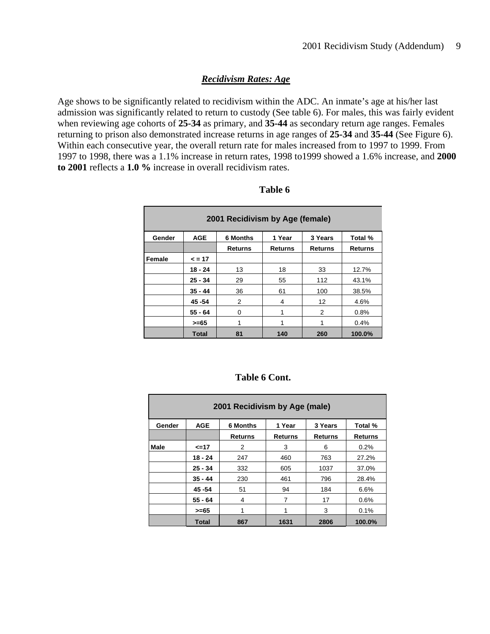## *Recidivism Rates: Age*

Age shows to be significantly related to recidivism within the ADC. An inmate's age at his/her last admission was significantly related to return to custody (See table 6). For males, this was fairly evident when reviewing age cohorts of **25-34** as primary, and **35-44** as secondary return age ranges. Females returning to prison also demonstrated increase returns in age ranges of **25-34** and **35-44** (See Figure 6). Within each consecutive year, the overall return rate for males increased from to 1997 to 1999. From 1997 to 1998, there was a 1.1% increase in return rates, 1998 to1999 showed a 1.6% increase, and **2000 to 2001** reflects a **1.0 %** increase in overall recidivism rates.

|        |              | 2001 Recidivism by Age (female) |         |         |                |
|--------|--------------|---------------------------------|---------|---------|----------------|
| Gender | <b>AGE</b>   | <b>6 Months</b>                 | 1 Year  | 3 Years | Total %        |
|        |              | <b>Returns</b>                  | Returns | Returns | <b>Returns</b> |
| Female | $\leq$ = 17  |                                 |         |         |                |
|        | $18 - 24$    | 13                              | 18      | 33      | 12.7%          |
|        | $25 - 34$    | 29                              | 55      | 112     | 43.1%          |
|        | $35 - 44$    | 36                              | 61      | 100     | 38.5%          |
|        | 45 - 54      | 2                               | 4       | 12      | 4.6%           |
|        | $55 - 64$    | 0                               |         | 2       | 0.8%           |
|        | $>= 65$      |                                 |         |         | 0.4%           |
|        | <b>Total</b> | 81                              | 140     | 260     | 100.0%         |

| <b>Table 6 Cont.</b> |  |
|----------------------|--|
|----------------------|--|

|        | 2001 Recidivism by Age (male) |                 |                |                |                |  |  |  |
|--------|-------------------------------|-----------------|----------------|----------------|----------------|--|--|--|
| Gender | <b>AGE</b>                    | <b>6 Months</b> | 1 Year         | 3 Years        | Total %        |  |  |  |
|        |                               | <b>Returns</b>  | <b>Returns</b> | <b>Returns</b> | <b>Returns</b> |  |  |  |
| Male   | <=17                          | 2               | 3              | 6              | 0.2%           |  |  |  |
|        | $18 - 24$                     | 247             | 460            | 763            | 27.2%          |  |  |  |
|        | $25 - 34$                     | 332             | 605            | 1037           | 37.0%          |  |  |  |
|        | $35 - 44$                     | 230             | 461            | 796            | 28.4%          |  |  |  |
|        | 45 - 54                       | 51              | 94             | 184            | 6.6%           |  |  |  |
|        | $55 - 64$                     | 4               | 7              | 17             | 0.6%           |  |  |  |
|        | >=65                          |                 |                | 3              | 0.1%           |  |  |  |
|        | <b>Total</b>                  | 867             | 1631           | 2806           | 100.0%         |  |  |  |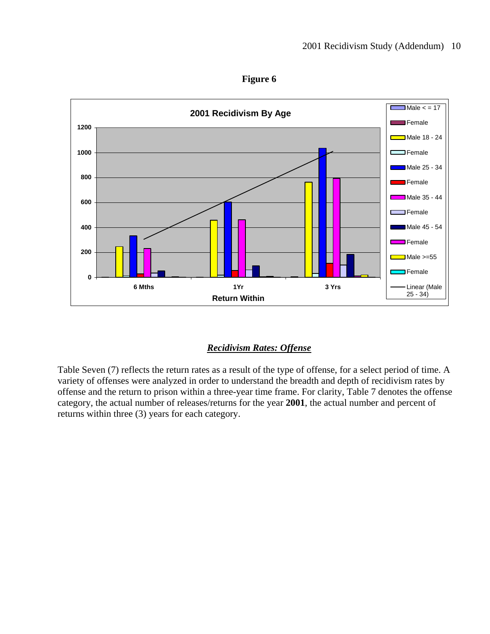

**Figure 6** 

## *Recidivism Rates: Offense*

Table Seven (7) reflects the return rates as a result of the type of offense, for a select period of time. A variety of offenses were analyzed in order to understand the breadth and depth of recidivism rates by offense and the return to prison within a three-year time frame. For clarity, Table 7 denotes the offense category, the actual number of releases/returns for the year **2001**, the actual number and percent of returns within three (3) years for each category.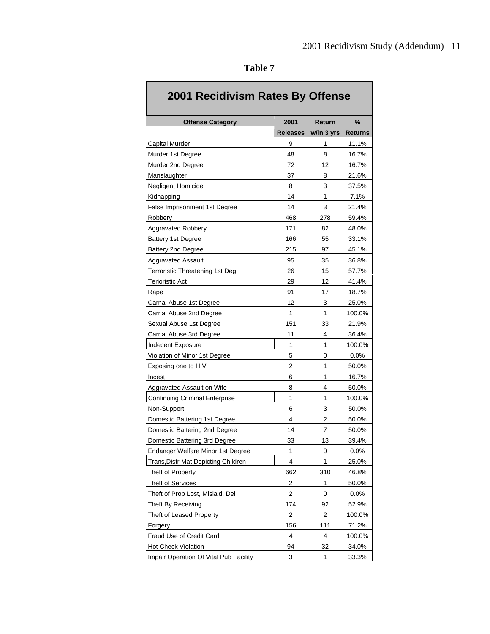| 2001 Recidivism Rates By Offense           |                         |            |                |
|--------------------------------------------|-------------------------|------------|----------------|
| <b>Offense Category</b>                    | 2001                    | Return     | %              |
|                                            | <b>Releases</b>         | w/in 3 yrs | <b>Returns</b> |
| <b>Capital Murder</b>                      | 9                       | 1          | 11.1%          |
| Murder 1st Degree                          | 48                      | 8          | 16.7%          |
| Murder 2nd Degree                          | 72                      | 12         | 16.7%          |
| Manslaughter                               | 37                      | 8          | 21.6%          |
| Negligent Homicide                         | 8                       | 3          | 37.5%          |
| Kidnapping                                 | 14                      | 1          | 7.1%           |
| False Imprisonment 1st Degree              | 14                      | 3          | 21.4%          |
| Robbery                                    | 468                     | 278        | 59.4%          |
| <b>Aggravated Robbery</b>                  | 171                     | 82         | 48.0%          |
| Battery 1st Degree                         | 166                     | 55         | 33.1%          |
| Battery 2nd Degree                         | 215                     | 97         | 45.1%          |
| <b>Aggravated Assault</b>                  | 95                      | 35         | 36.8%          |
| Terroristic Threatening 1st Deg            | 26                      | 15         | 57.7%          |
| <b>Terioristic Act</b>                     | 29                      | 12         | 41.4%          |
| Rape                                       | 91                      | 17         | 18.7%          |
| Carnal Abuse 1st Degree                    | 12                      | 3          | 25.0%          |
| Carnal Abuse 2nd Degree                    | 1                       | 1          | 100.0%         |
| Sexual Abuse 1st Degree                    | 151                     | 33         | 21.9%          |
| Carnal Abuse 3rd Degree                    | 11                      | 4          | 36.4%          |
| Indecent Exposure                          | 1                       | 1          | 100.0%         |
| Violation of Minor 1st Degree              | 5                       | 0          | 0.0%           |
| Exposing one to HIV                        | 2                       | 1          | 50.0%          |
| Incest                                     | 6                       | 1          | 16.7%          |
| Aggravated Assault on Wife                 | 8                       | 4          | 50.0%          |
| <b>Continuing Criminal Enterprise</b>      | 1                       | 1          | 100.0%         |
| Non-Support                                | 6                       | 3          | 50.0%          |
| Domestic Battering 1st Degree              | 4                       | 2          | 50.0%          |
| Domestic Battering 2nd Degree              | 14                      | 7          | 50.0%          |
| Domestic Battering 3rd Degree              | 33                      | 13         | 39.4%          |
| Endanger Welfare Minor 1st Degree          | 1                       | 0          | 0.0%           |
| <b>Trans, Distr Mat Depicting Children</b> | 4                       | 1          | 25.0%          |
| Theft of Property                          | 662                     | 310        | 46.8%          |
| <b>Theft of Services</b>                   | $\overline{\mathbf{c}}$ | 1          | 50.0%          |
| Theft of Prop Lost, Mislaid, Del           | 2                       | 0          | $0.0\%$        |
| Theft By Receiving                         | 174                     | 92         | 52.9%          |
| Theft of Leased Property                   | 2                       | 2          | 100.0%         |
| Forgery                                    | 156                     | 111        | 71.2%          |
| Fraud Use of Credit Card                   | 4                       | 4          | 100.0%         |
| Hot Check Violation                        | 94                      | 32         | 34.0%          |
| Impair Operation Of Vital Pub Facility     | 3                       | 1          | 33.3%          |

| ını<br>L<br>Я |  |
|---------------|--|
|---------------|--|